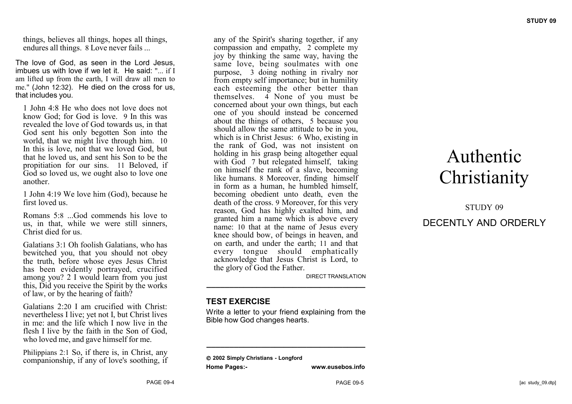things, believes all things, hopes all things, endures all things. 8 Love never fails ...

The love of God, as seen in the Lord Jesus, imbues us with love if we let it. He said: "... if I am lifted up from the earth, I will draw all men to me." (John 12:32). He died on the cross for us, that includes you.

1 John 4:8 He who does not love does not know God; for God is love. 9 In this was revealed the love of God towards us, in that God sent his only begotten Son into the world, that we might live through him. 10 In this is love, not that we loved God, but that he loved us, and sent his Son to be the propitiation for our sins. 11 Beloved, if God so loved us, we ought also to love one another.

1 John 4:19 We love him (God), because he first loved us.

Romans 5:8 ...God commends his love to us, in that, while we were still sinners, Christ died for us.

Galatians 3:1 Oh foolish Galatians, who has bewitched you, that you should not obey the truth, before whose eyes Jesus Christ has been evidently portrayed, crucified among you? 2 I would learn from you just this, Did you receive the Spirit by the works of law, or by the hearing of faith?

Galatians 2:20 I am crucified with Christ: nevertheless I live; yet not I, but Christ lives in me: and the life which I now live in the flesh I live by the faith in the Son of God, who loved me, and gave himself for me.

Philippians 2:1 So, if there is, in Christ, any companionship, if any of love's soothing, if any of the Spirit's sharing together, if any compassion and empathy, 2 complete my joy by thinking the same way, having the same love, being soulmates with one purpose, 3 doing nothing in rivalry nor from empty self importance; but in humility each esteeming the other better than themselves. 4 None of you must be concerned about your own things, but each one of you should instead be concerned about the things of others, 5 because you should allow the same attitude to be in you, which is in Christ Jesus: 6 Who, existing in the rank of God, was not insistent on holding in his grasp being altogether equal with God 7 but relegated himself, taking on himself the rank of a slave, becoming like humans. 8 Moreover, finding himself in form as a human, he humbled himself, becoming obedient unto death, even the death of the cross. 9 Moreover, for this very reason, God has highly exalted him, and granted him a name which is above every name: 10 that at the name of Jesus every knee should bow, of beings in heaven, and on earth, and under the earth; 11 and that every tongue should emphatically acknowledge that Jesus Christ is Lord, to the glory of God the Father.

DIRECT TRANSLATION

#### **TEST EXERCISE**

Write a letter to your friend explaining from the Bible how God changes hearts.

**\_\_\_\_\_\_\_\_\_\_\_\_\_\_\_\_\_\_\_\_\_\_\_\_\_\_\_\_\_\_\_\_\_\_\_**

**\_\_\_\_\_\_\_\_\_\_\_\_\_\_\_\_\_\_\_\_\_\_\_\_\_\_\_\_\_\_\_\_\_\_\_**

 **2002 Simply Christians - Longford Home Pages:- www.eusebos.info**

# Authentic **Christianity**

## STUDY 09 DECENTLY AND ORDERLY